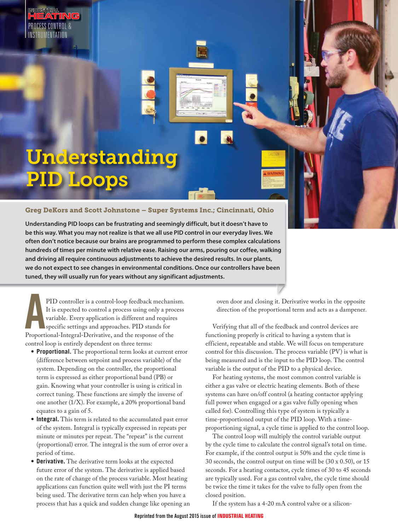PROCESS CONTROL & INSTRUMENTATION

# Understanding PID Loops

### **Greg DeKors and Scott Johnstone – Super Systems Inc.; Cincinnati, Ohio**

**Understanding PID loops can be frustrating and seemingly difficult, but it doesn't have to be this way. What you may not realize is that we all use PID control in our everyday lives. We often don't notice because our brains are programmed to perform these complex calculations hundreds of times per minute with relative ease. Raising our arms, pouring our coffee, walking and driving all require continuous adjustments to achieve the desired results. In our plants, we do not expect to see changes in environmental conditions. Once our controllers have been tuned, they will usually run for years without any significant adjustments.**

PID controller is a control-loop feedback mechani<br>It is expected to control a process using only a prov<br>variable. Every application is different and require<br>specific settings and approaches. PID stands for<br>Proportional-Int PID controller is a control-loop feedback mechanism. It is expected to control a process using only a process variable. Every application is different and requires specific settings and approaches. PID stands for control loop is entirely dependent on three terms:

- **Proportional.** The proportional term looks at current error (difference between setpoint and process variable) of the system. Depending on the controller, the proportional term is expressed as either proportional band (PB) or gain. Knowing what your controller is using is critical in correct tuning. These functions are simply the inverse of one another (1/X). For example, a 20% proportional band equates to a gain of 5.
- **Integral.** This term is related to the accumulated past error of the system. Integral is typically expressed in repeats per minute or minutes per repeat. The "repeat" is the current (proportional) error. The integral is the sum of error over a period of time.
- **Derivative.** The derivative term looks at the expected future error of the system. The derivative is applied based on the rate of change of the process variable. Most heating applications can function quite well with just the PI terms being used. The derivative term can help when you have a process that has a quick and sudden change like opening an

oven door and closing it. Derivative works in the opposite direction of the proportional term and acts as a dampener.

 Verifying that all of the feedback and control devices are functioning properly is critical to having a system that is efficient, repeatable and stable. We will focus on temperature control for this discussion. The process variable (PV) is what is being measured and is the input to the PID loop. The control variable is the output of the PID to a physical device.

 For heating systems, the most common control variable is either a gas valve or electric heating elements. Both of these systems can have on/off control (a heating contactor applying full power when engaged or a gas valve fully opening when called for). Controlling this type of system is typically a time-proportioned output of the PID loop. With a timeproportioning signal, a cycle time is applied to the control loop.

 The control loop will multiply the control variable output by the cycle time to calculate the control signal's total on time. For example, if the control output is 50% and the cycle time is 30 seconds, the control output on time will be (30 x 0.50), or 15 seconds. For a heating contactor, cycle times of 30 to 45 seconds are typically used. For a gas control valve, the cycle time should be twice the time it takes for the valve to fully open from the closed position.

If the system has a 4-20 mA control valve or a silicon-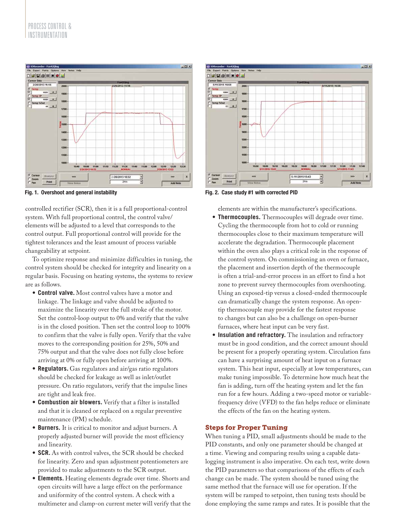

**Fig. 1. Overshoot and general instability example 2. Case study #1 with corrected PID** 

controlled rectifier (SCR), then it is a full proportional-control system. With full proportional control, the control valve/ elements will be adjusted to a level that corresponds to the control output. Full proportional control will provide for the tightest tolerances and the least amount of process variable changeability at setpoint.

 To optimize response and minimize difficulties in tuning, the control system should be checked for integrity and linearity on a regular basis. Focusing on heating systems, the systems to review are as follows.

- **Control valve.** Most control valves have a motor and linkage. The linkage and valve should be adjusted to maximize the linearity over the full stroke of the motor. Set the control-loop output to 0% and verify that the valve is in the closed position. Then set the control loop to 100% to confirm that the valve is fully open. Verify that the valve moves to the corresponding position for 25%, 50% and 75% output and that the valve does not fully close before arriving at 0% or fully open before arriving at 100%.
- **Regulators.** Gas regulators and air/gas ratio regulators should be checked for leakage as well as inlet/outlet pressure. On ratio regulators, verify that the impulse lines are tight and leak free.
- **Combustion air blowers.** Verify that a filter is installed and that it is cleaned or replaced on a regular preventive maintenance (PM) schedule.
- **Burners.** It is critical to monitor and adjust burners. A properly adjusted burner will provide the most efficiency and linearity.
- **SCR.** As with control valves, the SCR should be checked for linearity. Zero and span adjustment potentiometers are provided to make adjustments to the SCR output.
- **Elements.** Heating elements degrade over time. Shorts and open circuits will have a large effect on the performance and uniformity of the control system. A check with a multimeter and clamp-on current meter will verify that the



elements are within the manufacturer's specifications.

- **Thermocouples.** Thermocouples will degrade over time. Cycling the thermocouple from hot to cold or running thermocouples close to their maximum temperature will accelerate the degradation. Thermocouple placement within the oven also plays a critical role in the response of the control system. On commissioning an oven or furnace, the placement and insertion depth of the thermocouple is often a trial-and-error process in an effort to find a hot zone to prevent survey thermocouples from overshooting. Using an exposed-tip versus a closed-ended thermocouple can dramatically change the system response. An opentip thermocouple may provide for the fastest response to changes but can also be a challenge on open-burner furnaces, where heat input can be very fast.
- **Insulation and refractory.** The insulation and refractory must be in good condition, and the correct amount should be present for a properly operating system. Circulation fans can have a surprising amount of heat input on a furnace system. This heat input, especially at low temperatures, can make tuning impossible. To determine how much heat the fan is adding, turn off the heating system and let the fan run for a few hours. Adding a two-speed motor or variablefrequency drive (VFD) to the fan helps reduce or eliminate the effects of the fan on the heating system.

## **Steps for Proper Tuning**

When tuning a PID, small adjustments should be made to the PID constants, and only one parameter should be changed at a time. Viewing and comparing results using a capable datalogging instrument is also imperative. On each test, write down the PID parameters so that comparisons of the effects of each change can be made. The system should be tuned using the same method that the furnace will use for operation. If the system will be ramped to setpoint, then tuning tests should be done employing the same ramps and rates. It is possible that the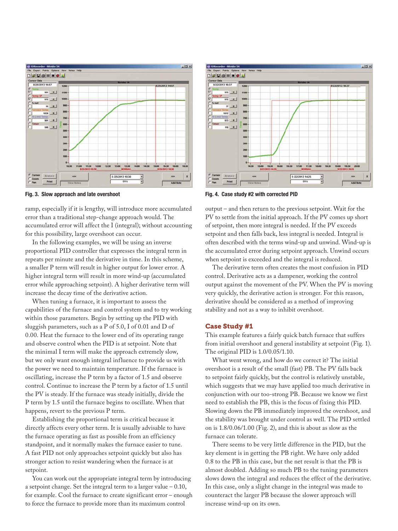

ramp, especially if it is lengthy, will introduce more accumulated error than a traditional step-change approach would. The accumulated error will affect the I (integral); without accounting for this possibility, large overshoot can occur.

 In the following examples, we will be using an inverse proportional PID controller that expresses the integral term in repeats per minute and the derivative in time. In this scheme, a smaller P term will result in higher output for lower error. A higher integral term will result in more wind-up (accumulated error while approaching setpoint). A higher derivative term will increase the decay time of the derivative action.

 When tuning a furnace, it is important to assess the capabilities of the furnace and control system and to try working within those parameters. Begin by setting up the PID with sluggish parameters, such as a P of 5.0, I of 0.01 and D of 0.00. Heat the furnace to the lower end of its operating range and observe control when the PID is at setpoint. Note that the minimal I term will make the approach extremely slow, but we only want enough integral influence to provide us with the power we need to maintain temperature. If the furnace is oscillating, increase the P term by a factor of 1.5 and observe control. Continue to increase the P term by a factor of 1.5 until the PV is steady. If the furnace was steady initially, divide the P term by 1.5 until the furnace begins to oscillate. When that happens, revert to the previous P term.

 Establishing the proportional term is critical because it directly affects every other term. It is usually advisable to have the furnace operating as fast as possible from an efficiency standpoint, and it normally makes the furnace easier to tune. A fast PID not only approaches setpoint quickly but also has stronger action to resist wandering when the furnace is at setpoint.

 You can work out the appropriate integral term by introducing a setpoint change. Set the integral term to a larger value – 0.10, for example. Cool the furnace to create significant error – enough to force the furnace to provide more than its maximum control



**Fig. 3. Slow approach and late overshoot** Fig. 4. Case study #2 with corrected PID

output – and then return to the previous setpoint. Wait for the PV to settle from the initial approach. If the PV comes up short of setpoint, then more integral is needed. If the PV exceeds setpoint and then falls back, less integral is needed. Integral is often described with the terms wind-up and unwind. Wind-up is the accumulated error during setpoint approach. Unwind occurs when setpoint is exceeded and the integral is reduced.

 The derivative term often creates the most confusion in PID control. Derivative acts as a dampener, working the control output against the movement of the PV. When the PV is moving very quickly, the derivative action is stronger. For this reason, derivative should be considered as a method of improving stability and not as a way to inhibit overshoot.

#### **Case Study #1**

This example features a fairly quick batch furnace that suffers from initial overshoot and general instability at setpoint (Fig. 1). The original PID is 1.0/0.05/1.10.

 What went wrong, and how do we correct it? The initial overshoot is a result of the small (fast) PB. The PV falls back to setpoint fairly quickly, but the control is relatively unstable, which suggests that we may have applied too much derivative in conjunction with our too-strong PB. Because we know we first need to establish the PB, this is the focus of fixing this PID. Slowing down the PB immediately improved the overshoot, and the stability was brought under control as well. The PID settled on is 1.8/0.06/1.00 (Fig. 2), and this is about as slow as the furnace can tolerate.

 There seems to be very little difference in the PID, but the key element is in getting the PB right. We have only added 0.8 to the PB in this case, but the net result is that the PB is almost doubled. Adding so much PB to the tuning parameters slows down the integral and reduces the effect of the derivative. In this case, only a slight change in the integral was made to counteract the larger PB because the slower approach will increase wind-up on its own.